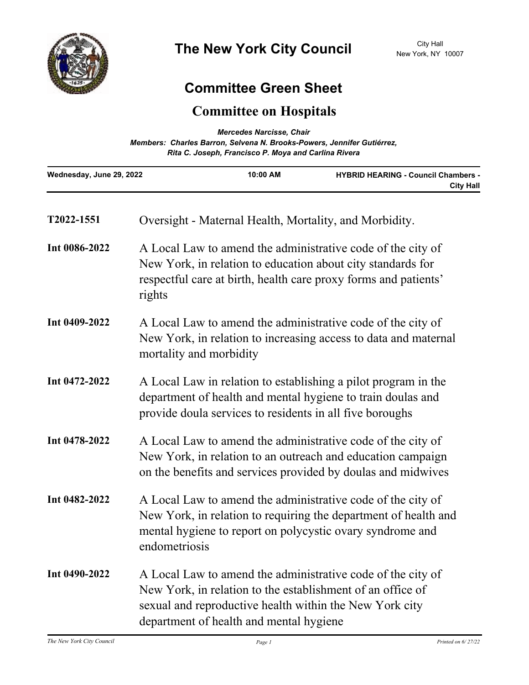

## **Committee Green Sheet**

## **Committee on Hospitals**

| <b>Mercedes Narcisse, Chair</b><br>Members: Charles Barron, Selvena N. Brooks-Powers, Jennifer Gutiérrez,<br>Rita C. Joseph, Francisco P. Moya and Carlina Rivera |                                                                                                                                                                                                                                 |                                                                                                                                                                                               |                                                                |  |
|-------------------------------------------------------------------------------------------------------------------------------------------------------------------|---------------------------------------------------------------------------------------------------------------------------------------------------------------------------------------------------------------------------------|-----------------------------------------------------------------------------------------------------------------------------------------------------------------------------------------------|----------------------------------------------------------------|--|
| Wednesday, June 29, 2022                                                                                                                                          |                                                                                                                                                                                                                                 | 10:00 AM                                                                                                                                                                                      | <b>HYBRID HEARING - Council Chambers -</b><br><b>City Hall</b> |  |
| T2022-1551                                                                                                                                                        |                                                                                                                                                                                                                                 |                                                                                                                                                                                               | Oversight - Maternal Health, Mortality, and Morbidity.         |  |
| Int 0086-2022                                                                                                                                                     | rights                                                                                                                                                                                                                          | A Local Law to amend the administrative code of the city of<br>New York, in relation to education about city standards for<br>respectful care at birth, health care proxy forms and patients' |                                                                |  |
| Int 0409-2022                                                                                                                                                     | A Local Law to amend the administrative code of the city of<br>New York, in relation to increasing access to data and maternal<br>mortality and morbidity                                                                       |                                                                                                                                                                                               |                                                                |  |
| Int 0472-2022                                                                                                                                                     | A Local Law in relation to establishing a pilot program in the<br>department of health and mental hygiene to train doulas and<br>provide doula services to residents in all five boroughs                                       |                                                                                                                                                                                               |                                                                |  |
| Int 0478-2022                                                                                                                                                     | A Local Law to amend the administrative code of the city of<br>New York, in relation to an outreach and education campaign<br>on the benefits and services provided by doulas and midwives                                      |                                                                                                                                                                                               |                                                                |  |
| Int 0482-2022                                                                                                                                                     | A Local Law to amend the administrative code of the city of<br>New York, in relation to requiring the department of health and<br>mental hygiene to report on polycystic ovary syndrome and<br>endometriosis                    |                                                                                                                                                                                               |                                                                |  |
| Int 0490-2022                                                                                                                                                     | A Local Law to amend the administrative code of the city of<br>New York, in relation to the establishment of an office of<br>sexual and reproductive health within the New York city<br>department of health and mental hygiene |                                                                                                                                                                                               |                                                                |  |